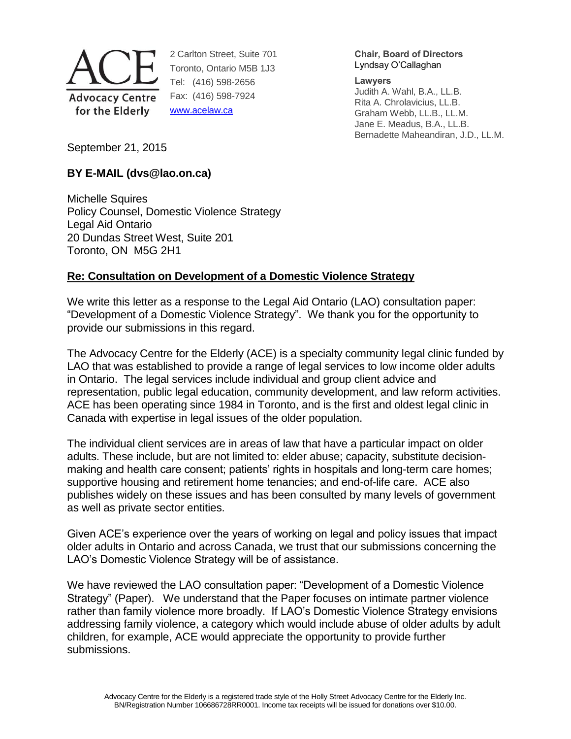

2 Carlton Street, Suite 701 Toronto, Ontario M5B 1J3 Tel: (416) 598-2656 Fax: (416) 598-7924 [www.acelaw.ca](http://www.acelaw.ca/)

**Chair, Board of Directors** Lyndsay O'Callaghan

**Lawyers**

Judith A. Wahl, B.A., LL.B. Rita A. Chrolavicius, LL.B. Graham Webb, LL.B., LL.M. Jane E. Meadus, B.A., LL.B. Bernadette Maheandiran, J.D., LL.M.

September 21, 2015

# **BY E-MAIL (dvs@lao.on.ca)**

Michelle Squires Policy Counsel, Domestic Violence Strategy Legal Aid Ontario 20 Dundas Street West, Suite 201 Toronto, ON M5G 2H1

# **Re: Consultation on Development of a Domestic Violence Strategy**

We write this letter as a response to the Legal Aid Ontario (LAO) consultation paper: "Development of a Domestic Violence Strategy". We thank you for the opportunity to provide our submissions in this regard.

The Advocacy Centre for the Elderly (ACE) is a specialty community legal clinic funded by LAO that was established to provide a range of legal services to low income older adults in Ontario. The legal services include individual and group client advice and representation, public legal education, community development, and law reform activities. ACE has been operating since 1984 in Toronto, and is the first and oldest legal clinic in Canada with expertise in legal issues of the older population.

The individual client services are in areas of law that have a particular impact on older adults. These include, but are not limited to: elder abuse; capacity, substitute decisionmaking and health care consent; patients' rights in hospitals and long-term care homes; supportive housing and retirement home tenancies; and end-of-life care. ACE also publishes widely on these issues and has been consulted by many levels of government as well as private sector entities.

Given ACE's experience over the years of working on legal and policy issues that impact older adults in Ontario and across Canada, we trust that our submissions concerning the LAO's Domestic Violence Strategy will be of assistance.

We have reviewed the LAO consultation paper: "Development of a Domestic Violence Strategy" (Paper). We understand that the Paper focuses on intimate partner violence rather than family violence more broadly. If LAO's Domestic Violence Strategy envisions addressing family violence, a category which would include abuse of older adults by adult children, for example, ACE would appreciate the opportunity to provide further submissions.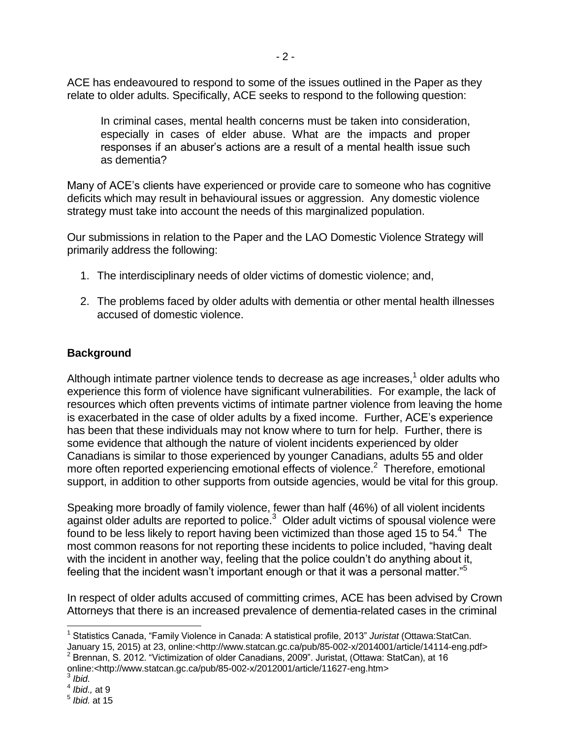ACE has endeavoured to respond to some of the issues outlined in the Paper as they relate to older adults. Specifically, ACE seeks to respond to the following question:

In criminal cases, mental health concerns must be taken into consideration, especially in cases of elder abuse. What are the impacts and proper responses if an abuser's actions are a result of a mental health issue such as dementia?

Many of ACE's clients have experienced or provide care to someone who has cognitive deficits which may result in behavioural issues or aggression. Any domestic violence strategy must take into account the needs of this marginalized population.

Our submissions in relation to the Paper and the LAO Domestic Violence Strategy will primarily address the following:

- 1. The interdisciplinary needs of older victims of domestic violence; and,
- 2. The problems faced by older adults with dementia or other mental health illnesses accused of domestic violence.

### **Background**

Although intimate partner violence tends to decrease as age increases,<sup>1</sup> older adults who experience this form of violence have significant vulnerabilities. For example, the lack of resources which often prevents victims of intimate partner violence from leaving the home is exacerbated in the case of older adults by a fixed income. Further, ACE's experience has been that these individuals may not know where to turn for help. Further, there is some evidence that although the nature of violent incidents experienced by older Canadians is similar to those experienced by younger Canadians, adults 55 and older more often reported experiencing emotional effects of violence.<sup>2</sup> Therefore, emotional support, in addition to other supports from outside agencies, would be vital for this group.

Speaking more broadly of family violence, fewer than half (46%) of all violent incidents against older adults are reported to police.<sup>3</sup> Older adult victims of spousal violence were found to be less likely to report having been victimized than those aged 15 to 54. $4$  The most common reasons for not reporting these incidents to police included, "having dealt with the incident in another way, feeling that the police couldn't do anything about it, feeling that the incident wasn't important enough or that it was a personal matter."<sup>5</sup>

In respect of older adults accused of committing crimes, ACE has been advised by Crown Attorneys that there is an increased prevalence of dementia-related cases in the criminal

 $\overline{a}$ 1 Statistics Canada, "Family Violence in Canada: A statistical profile, 2013" *Juristat* (Ottawa:StatCan.

January 15, 2015) at 23, online:<http://www.statcan.gc.ca/pub/85-002-x/2014001/article/14114-eng.pdf><br><sup>2</sup> Brennan, S. 2012. "Victimization of older Canadians, 2009". Juristat, (Ottawa: StatCan), at 16 online:<http://www.statcan.gc.ca/pub/85-002-x/2012001/article/11627-eng.htm> 3

*Ibid.* 

<sup>4</sup> *Ibid.,* at 9

<sup>5</sup> *Ibid.* at 15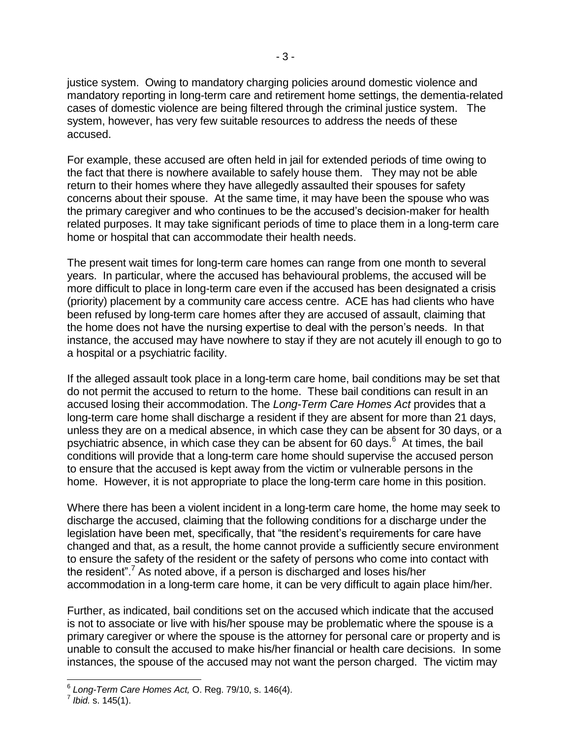justice system. Owing to mandatory charging policies around domestic violence and mandatory reporting in long-term care and retirement home settings, the dementia-related cases of domestic violence are being filtered through the criminal justice system. The system, however, has very few suitable resources to address the needs of these accused.

For example, these accused are often held in jail for extended periods of time owing to the fact that there is nowhere available to safely house them. They may not be able return to their homes where they have allegedly assaulted their spouses for safety concerns about their spouse. At the same time, it may have been the spouse who was the primary caregiver and who continues to be the accused's decision-maker for health related purposes. It may take significant periods of time to place them in a long-term care home or hospital that can accommodate their health needs.

The present wait times for long-term care homes can range from one month to several years. In particular, where the accused has behavioural problems, the accused will be more difficult to place in long-term care even if the accused has been designated a crisis (priority) placement by a community care access centre. ACE has had clients who have been refused by long-term care homes after they are accused of assault, claiming that the home does not have the nursing expertise to deal with the person's needs. In that instance, the accused may have nowhere to stay if they are not acutely ill enough to go to a hospital or a psychiatric facility.

If the alleged assault took place in a long-term care home, bail conditions may be set that do not permit the accused to return to the home. These bail conditions can result in an accused losing their accommodation. The *Long-Term Care Homes Act* provides that a long-term care home shall discharge a resident if they are absent for more than 21 days, unless they are on a medical absence, in which case they can be absent for 30 days, or a psychiatric absence, in which case they can be absent for 60 days.<sup>6</sup> At times, the bail conditions will provide that a long-term care home should supervise the accused person to ensure that the accused is kept away from the victim or vulnerable persons in the home. However, it is not appropriate to place the long-term care home in this position.

Where there has been a violent incident in a long-term care home, the home may seek to discharge the accused, claiming that the following conditions for a discharge under the legislation have been met, specifically, that "the resident's requirements for care have changed and that, as a result, the home cannot provide a sufficiently secure environment to ensure the safety of the resident or the safety of persons who come into contact with the resident".<sup>7</sup> As noted above, if a person is discharged and loses his/her accommodation in a long-term care home, it can be very difficult to again place him/her.

Further, as indicated, bail conditions set on the accused which indicate that the accused is not to associate or live with his/her spouse may be problematic where the spouse is a primary caregiver or where the spouse is the attorney for personal care or property and is unable to consult the accused to make his/her financial or health care decisions. In some instances, the spouse of the accused may not want the person charged. The victim may

 6 *Long-Term Care Homes Act,* O. Reg. 79/10, s. 146(4).

<sup>7</sup> *Ibid.* s. 145(1).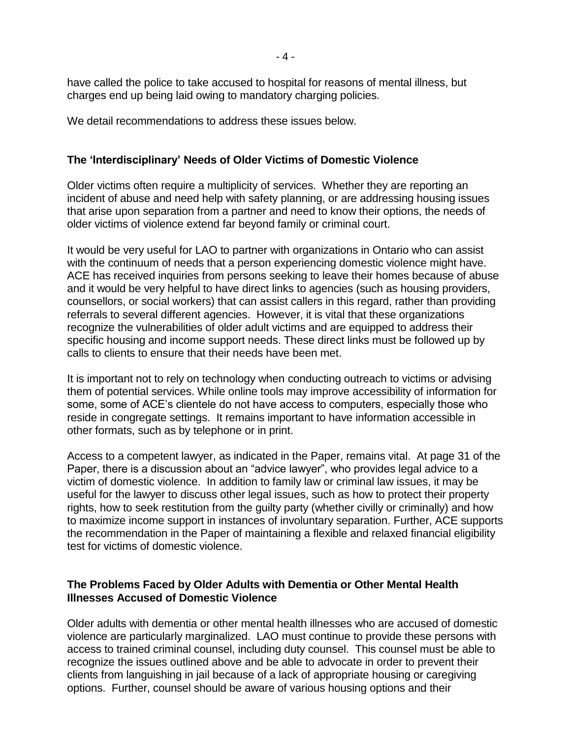- 4 -

have called the police to take accused to hospital for reasons of mental illness, but charges end up being laid owing to mandatory charging policies.

We detail recommendations to address these issues below.

### **The 'Interdisciplinary' Needs of Older Victims of Domestic Violence**

Older victims often require a multiplicity of services. Whether they are reporting an incident of abuse and need help with safety planning, or are addressing housing issues that arise upon separation from a partner and need to know their options, the needs of older victims of violence extend far beyond family or criminal court.

It would be very useful for LAO to partner with organizations in Ontario who can assist with the continuum of needs that a person experiencing domestic violence might have. ACE has received inquiries from persons seeking to leave their homes because of abuse and it would be very helpful to have direct links to agencies (such as housing providers, counsellors, or social workers) that can assist callers in this regard, rather than providing referrals to several different agencies. However, it is vital that these organizations recognize the vulnerabilities of older adult victims and are equipped to address their specific housing and income support needs. These direct links must be followed up by calls to clients to ensure that their needs have been met.

It is important not to rely on technology when conducting outreach to victims or advising them of potential services. While online tools may improve accessibility of information for some, some of ACE's clientele do not have access to computers, especially those who reside in congregate settings. It remains important to have information accessible in other formats, such as by telephone or in print.

Access to a competent lawyer, as indicated in the Paper, remains vital. At page 31 of the Paper, there is a discussion about an "advice lawyer", who provides legal advice to a victim of domestic violence. In addition to family law or criminal law issues, it may be useful for the lawyer to discuss other legal issues, such as how to protect their property rights, how to seek restitution from the guilty party (whether civilly or criminally) and how to maximize income support in instances of involuntary separation. Further, ACE supports the recommendation in the Paper of maintaining a flexible and relaxed financial eligibility test for victims of domestic violence.

### **The Problems Faced by Older Adults with Dementia or Other Mental Health Illnesses Accused of Domestic Violence**

Older adults with dementia or other mental health illnesses who are accused of domestic violence are particularly marginalized. LAO must continue to provide these persons with access to trained criminal counsel, including duty counsel. This counsel must be able to recognize the issues outlined above and be able to advocate in order to prevent their clients from languishing in jail because of a lack of appropriate housing or caregiving options. Further, counsel should be aware of various housing options and their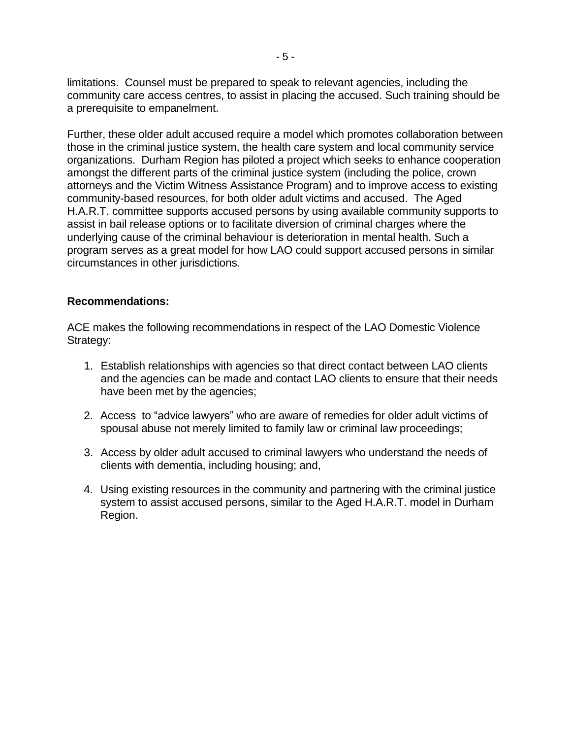limitations. Counsel must be prepared to speak to relevant agencies, including the community care access centres, to assist in placing the accused. Such training should be a prerequisite to empanelment.

Further, these older adult accused require a model which promotes collaboration between those in the criminal justice system, the health care system and local community service organizations. Durham Region has piloted a project which seeks to enhance cooperation amongst the different parts of the criminal justice system (including the police, crown attorneys and the Victim Witness Assistance Program) and to improve access to existing community-based resources, for both older adult victims and accused. The Aged H.A.R.T. committee supports accused persons by using available community supports to assist in bail release options or to facilitate diversion of criminal charges where the underlying cause of the criminal behaviour is deterioration in mental health. Such a program serves as a great model for how LAO could support accused persons in similar circumstances in other jurisdictions.

#### **Recommendations:**

ACE makes the following recommendations in respect of the LAO Domestic Violence Strategy:

- 1. Establish relationships with agencies so that direct contact between LAO clients and the agencies can be made and contact LAO clients to ensure that their needs have been met by the agencies;
- 2. Access to "advice lawyers" who are aware of remedies for older adult victims of spousal abuse not merely limited to family law or criminal law proceedings;
- 3. Access by older adult accused to criminal lawyers who understand the needs of clients with dementia, including housing; and,
- 4. Using existing resources in the community and partnering with the criminal justice system to assist accused persons, similar to the Aged H.A.R.T. model in Durham Region.